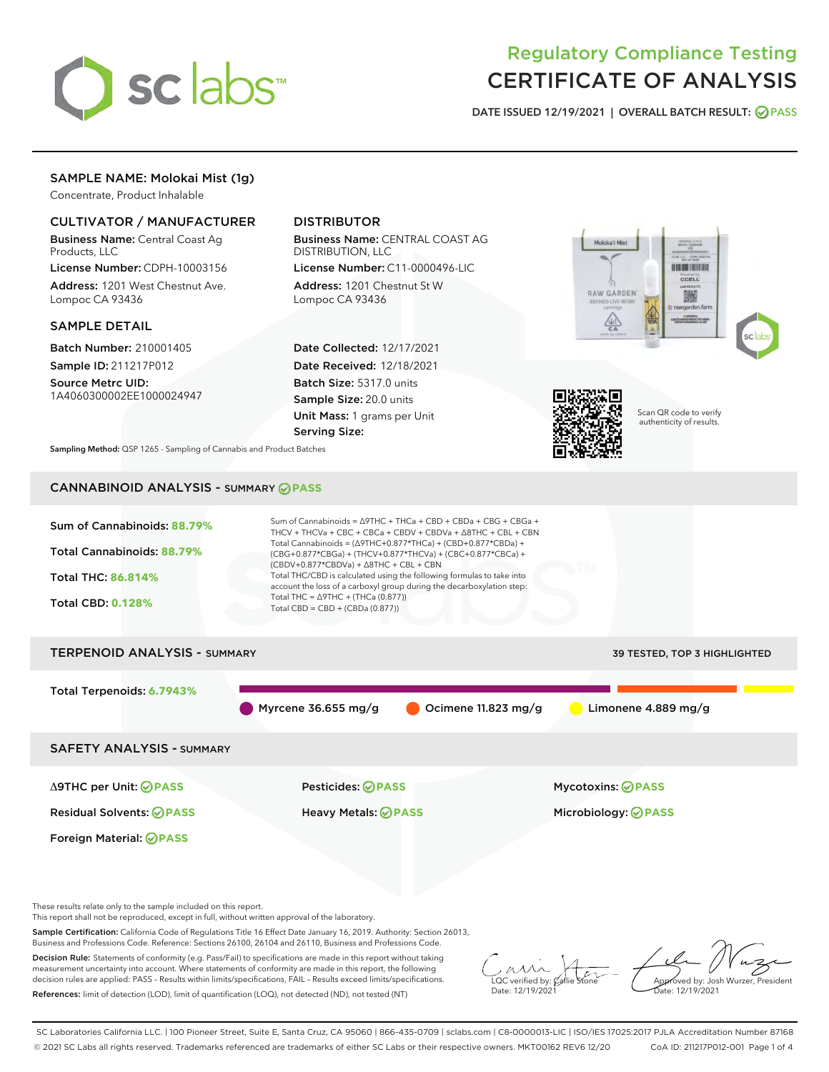

# Regulatory Compliance Testing CERTIFICATE OF ANALYSIS

DATE ISSUED 12/19/2021 | OVERALL BATCH RESULT: @ PASS

## SAMPLE NAME: Molokai Mist (1g)

Concentrate, Product Inhalable

#### CULTIVATOR / MANUFACTURER

Business Name: Central Coast Ag Products, LLC

License Number: CDPH-10003156 Address: 1201 West Chestnut Ave. Lompoc CA 93436

#### SAMPLE DETAIL

Batch Number: 210001405 Sample ID: 211217P012

Source Metrc UID: 1A4060300002EE1000024947

## DISTRIBUTOR

Business Name: CENTRAL COAST AG DISTRIBUTION, LLC

License Number: C11-0000496-LIC Address: 1201 Chestnut St W Lompoc CA 93436

Date Collected: 12/17/2021 Date Received: 12/18/2021 Batch Size: 5317.0 units Sample Size: 20.0 units Unit Mass: 1 grams per Unit Serving Size:





Scan QR code to verify authenticity of results.

Sampling Method: QSP 1265 - Sampling of Cannabis and Product Batches

# CANNABINOID ANALYSIS - SUMMARY **PASS**



These results relate only to the sample included on this report.

This report shall not be reproduced, except in full, without written approval of the laboratory.

Sample Certification: California Code of Regulations Title 16 Effect Date January 16, 2019. Authority: Section 26013, Business and Professions Code. Reference: Sections 26100, 26104 and 26110, Business and Professions Code.

Decision Rule: Statements of conformity (e.g. Pass/Fail) to specifications are made in this report without taking measurement uncertainty into account. Where statements of conformity are made in this report, the following decision rules are applied: PASS – Results within limits/specifications, FAIL – Results exceed limits/specifications. References: limit of detection (LOD), limit of quantification (LOQ), not detected (ND), not tested (NT)

 $\overline{\text{LOC}}$  verified by:  $\mathcal{C}_i$ Date: 12/19/2021

Approved by: Josh Wurzer, President ate: 12/19/2021

SC Laboratories California LLC. | 100 Pioneer Street, Suite E, Santa Cruz, CA 95060 | 866-435-0709 | sclabs.com | C8-0000013-LIC | ISO/IES 17025:2017 PJLA Accreditation Number 87168 © 2021 SC Labs all rights reserved. Trademarks referenced are trademarks of either SC Labs or their respective owners. MKT00162 REV6 12/20 CoA ID: 211217P012-001 Page 1 of 4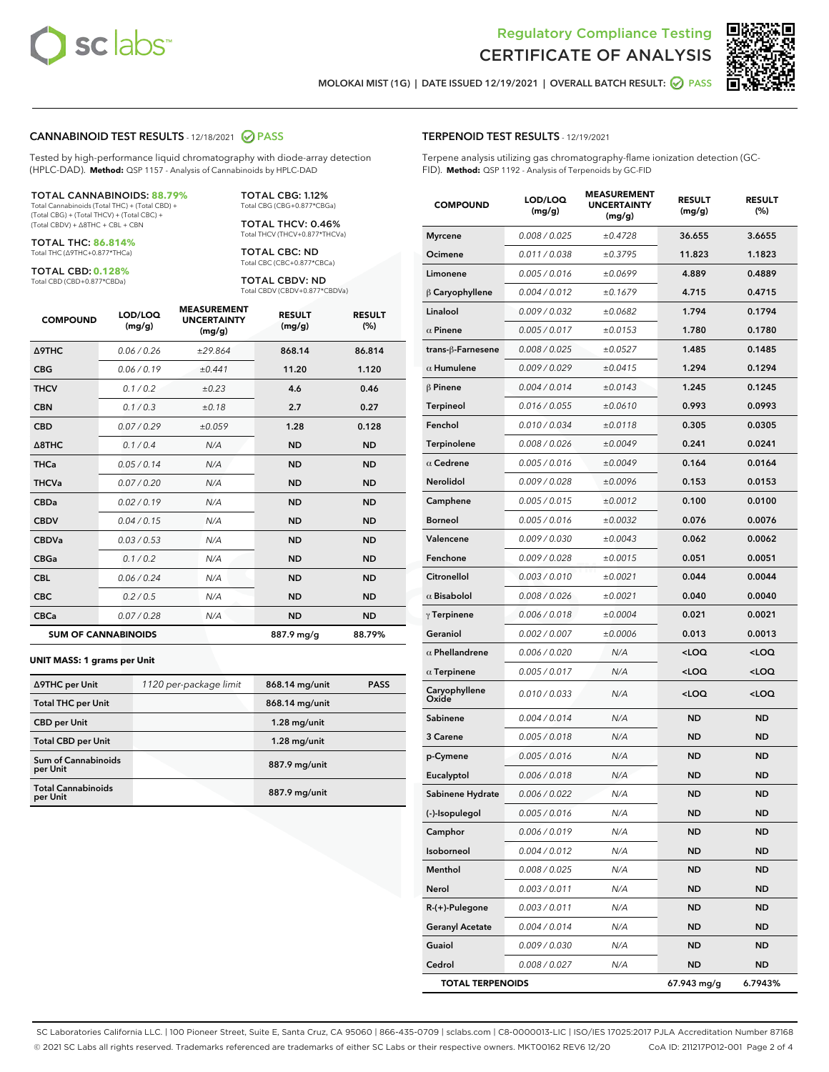



MOLOKAI MIST (1G) | DATE ISSUED 12/19/2021 | OVERALL BATCH RESULT: @ PASS

#### CANNABINOID TEST RESULTS - 12/18/2021 2 PASS

Tested by high-performance liquid chromatography with diode-array detection (HPLC-DAD). **Method:** QSP 1157 - Analysis of Cannabinoids by HPLC-DAD

#### TOTAL CANNABINOIDS: **88.79%**

Total Cannabinoids (Total THC) + (Total CBD) + (Total CBG) + (Total THCV) + (Total CBC) + (Total CBDV) + ∆8THC + CBL + CBN

TOTAL THC: **86.814%** Total THC (∆9THC+0.877\*THCa)

TOTAL CBD: **0.128%**

Total CBD (CBD+0.877\*CBDa)

TOTAL CBG: 1.12% Total CBG (CBG+0.877\*CBGa)

TOTAL THCV: 0.46% Total THCV (THCV+0.877\*THCVa)

TOTAL CBC: ND Total CBC (CBC+0.877\*CBCa)

TOTAL CBDV: ND Total CBDV (CBDV+0.877\*CBDVa)

| <b>COMPOUND</b>  | LOD/LOQ<br>(mg/g)          | <b>MEASUREMENT</b><br><b>UNCERTAINTY</b><br>(mg/g) | <b>RESULT</b><br>(mg/g) | <b>RESULT</b><br>(%) |
|------------------|----------------------------|----------------------------------------------------|-------------------------|----------------------|
| <b>A9THC</b>     | 0.06 / 0.26                | ±29.864                                            | 868.14                  | 86.814               |
| <b>CBG</b>       | 0.06/0.19                  | ±0.441                                             | 11.20                   | 1.120                |
| <b>THCV</b>      | 0.1 / 0.2                  | ±0.23                                              | 4.6                     | 0.46                 |
| <b>CBN</b>       | 0.1/0.3                    | ±0.18                                              | 2.7                     | 0.27                 |
| <b>CBD</b>       | 0.07/0.29                  | ±0.059                                             | 1.28                    | 0.128                |
| $\triangle$ 8THC | 0.1/0.4                    | N/A                                                | <b>ND</b>               | <b>ND</b>            |
| THCa             | 0.05/0.14                  | N/A                                                | <b>ND</b>               | <b>ND</b>            |
| <b>THCVa</b>     | 0.07/0.20                  | N/A                                                | <b>ND</b>               | <b>ND</b>            |
| <b>CBDa</b>      | 0.02/0.19                  | N/A                                                | <b>ND</b>               | <b>ND</b>            |
| <b>CBDV</b>      | 0.04 / 0.15                | N/A                                                | <b>ND</b>               | <b>ND</b>            |
| <b>CBDVa</b>     | 0.03/0.53                  | N/A                                                | <b>ND</b>               | <b>ND</b>            |
| <b>CBGa</b>      | 0.1 / 0.2                  | N/A                                                | <b>ND</b>               | <b>ND</b>            |
| <b>CBL</b>       | 0.06 / 0.24                | N/A                                                | <b>ND</b>               | <b>ND</b>            |
| <b>CBC</b>       | 0.2 / 0.5                  | N/A                                                | <b>ND</b>               | <b>ND</b>            |
| <b>CBCa</b>      | 0.07/0.28                  | N/A                                                | <b>ND</b>               | <b>ND</b>            |
|                  | <b>SUM OF CANNABINOIDS</b> |                                                    | 887.9 mg/g              | 88.79%               |

#### **UNIT MASS: 1 grams per Unit**

| ∆9THC per Unit                         | 1120 per-package limit | 868.14 mg/unit | <b>PASS</b> |
|----------------------------------------|------------------------|----------------|-------------|
| <b>Total THC per Unit</b>              |                        | 868.14 mg/unit |             |
| <b>CBD per Unit</b>                    |                        | $1.28$ mg/unit |             |
| <b>Total CBD per Unit</b>              |                        | $1.28$ mg/unit |             |
| <b>Sum of Cannabinoids</b><br>per Unit |                        | 887.9 mg/unit  |             |
| <b>Total Cannabinoids</b><br>per Unit  |                        | 887.9 mg/unit  |             |

## TERPENOID TEST RESULTS - 12/19/2021

Terpene analysis utilizing gas chromatography-flame ionization detection (GC-FID). **Method:** QSP 1192 - Analysis of Terpenoids by GC-FID

| <b>COMPOUND</b>         | LOD/LOQ<br>(mg/g) | <b>MEASUREMENT</b><br><b>UNCERTAINTY</b><br>(mg/g) | <b>RESULT</b><br>(mg/g)                         | <b>RESULT</b><br>(%) |
|-------------------------|-------------------|----------------------------------------------------|-------------------------------------------------|----------------------|
| <b>Myrcene</b>          | 0.008 / 0.025     | ±0.4728                                            | 36.655                                          | 3.6655               |
| Ocimene                 | 0.011 / 0.038     | ±0.3795                                            | 11.823                                          | 1.1823               |
| Limonene                | 0.005 / 0.016     | ±0.0699                                            | 4.889                                           | 0.4889               |
| $\beta$ Caryophyllene   | 0.004 / 0.012     | ±0.1679                                            | 4.715                                           | 0.4715               |
| Linalool                | 0.009 / 0.032     | ±0.0682                                            | 1.794                                           | 0.1794               |
| $\alpha$ Pinene         | 0.005 / 0.017     | ±0.0153                                            | 1.780                                           | 0.1780               |
| trans-ß-Farnesene       | 0.008 / 0.025     | ±0.0527                                            | 1.485                                           | 0.1485               |
| $\alpha$ Humulene       | 0.009/0.029       | ±0.0415                                            | 1.294                                           | 0.1294               |
| $\beta$ Pinene          | 0.004 / 0.014     | ±0.0143                                            | 1.245                                           | 0.1245               |
| <b>Terpineol</b>        | 0.016 / 0.055     | ±0.0610                                            | 0.993                                           | 0.0993               |
| Fenchol                 | 0.010 / 0.034     | ±0.0118                                            | 0.305                                           | 0.0305               |
| Terpinolene             | 0.008 / 0.026     | ±0.0049                                            | 0.241                                           | 0.0241               |
| $\alpha$ Cedrene        | 0.005 / 0.016     | ±0.0049                                            | 0.164                                           | 0.0164               |
| <b>Nerolidol</b>        | 0.009 / 0.028     | ±0.0096                                            | 0.153                                           | 0.0153               |
| Camphene                | 0.005 / 0.015     | ±0.0012                                            | 0.100                                           | 0.0100               |
| <b>Borneol</b>          | 0.005 / 0.016     | ±0.0032                                            | 0.076                                           | 0.0076               |
| Valencene               | 0.009 / 0.030     | ±0.0043                                            | 0.062                                           | 0.0062               |
| Fenchone                | 0.009 / 0.028     | ±0.0015                                            | 0.051                                           | 0.0051               |
| Citronellol             | 0.003 / 0.010     | ±0.0021                                            | 0.044                                           | 0.0044               |
| $\alpha$ Bisabolol      | 0.008 / 0.026     | ±0.0021                                            | 0.040                                           | 0.0040               |
| $\gamma$ Terpinene      | 0.006 / 0.018     | ±0.0004                                            | 0.021                                           | 0.0021               |
| Geraniol                | 0.002 / 0.007     | ±0.0006                                            | 0.013                                           | 0.0013               |
| $\alpha$ Phellandrene   | 0.006 / 0.020     | N/A                                                | <loq< th=""><th><loq< th=""></loq<></th></loq<> | <loq< th=""></loq<>  |
| $\alpha$ Terpinene      | 0.005 / 0.017     | N/A                                                | 100                                             | <loq< th=""></loq<>  |
| Caryophyllene<br>Oxide  | 0.010 / 0.033     | N/A                                                | <loq< th=""><th><loq< th=""></loq<></th></loq<> | <loq< th=""></loq<>  |
| Sabinene                | 0.004 / 0.014     | N/A                                                | ND                                              | <b>ND</b>            |
| 3 Carene                | 0.005 / 0.018     | N/A                                                | <b>ND</b>                                       | <b>ND</b>            |
| p-Cymene                | 0.005 / 0.016     | N/A                                                | ND                                              | <b>ND</b>            |
| Eucalyptol              | 0.006 / 0.018     | N/A                                                | ND                                              | <b>ND</b>            |
| Sabinene Hydrate        | 0.006 / 0.022     | N/A                                                | <b>ND</b>                                       | <b>ND</b>            |
| (-)-Isopulegol          | 0.005 / 0.016     | N/A                                                | ND                                              | ND                   |
| Camphor                 | 0.006 / 0.019     | N/A                                                | <b>ND</b>                                       | <b>ND</b>            |
| Isoborneol              | 0.004 / 0.012     | N/A                                                | ND                                              | <b>ND</b>            |
| Menthol                 | 0.008 / 0.025     | N/A                                                | ND                                              | <b>ND</b>            |
| Nerol                   | 0.003 / 0.011     | N/A                                                | ND                                              | ND                   |
| $R-(+)$ -Pulegone       | 0.003 / 0.011     | N/A                                                | ND                                              | ND                   |
| <b>Geranyl Acetate</b>  | 0.004 / 0.014     | N/A                                                | ND                                              | ND                   |
| Guaiol                  | 0.009 / 0.030     | N/A                                                | ND                                              | ND                   |
| Cedrol                  | 0.008 / 0.027     | N/A                                                | ND                                              | ND                   |
| <b>TOTAL TERPENOIDS</b> |                   |                                                    | 67.943 mg/g                                     | 6.7943%              |

SC Laboratories California LLC. | 100 Pioneer Street, Suite E, Santa Cruz, CA 95060 | 866-435-0709 | sclabs.com | C8-0000013-LIC | ISO/IES 17025:2017 PJLA Accreditation Number 87168 © 2021 SC Labs all rights reserved. Trademarks referenced are trademarks of either SC Labs or their respective owners. MKT00162 REV6 12/20 CoA ID: 211217P012-001 Page 2 of 4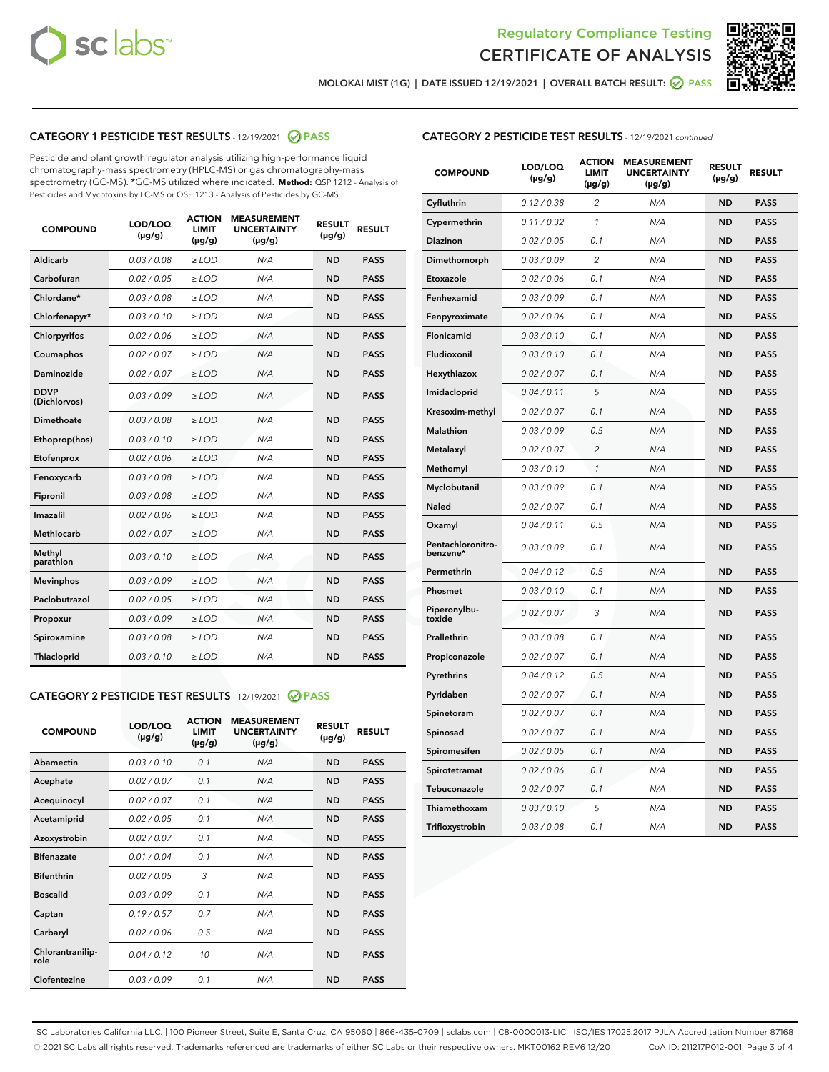



MOLOKAI MIST (1G) | DATE ISSUED 12/19/2021 | OVERALL BATCH RESULT: 2 PASS

### CATEGORY 1 PESTICIDE TEST RESULTS - 12/19/2021 2 PASS

Pesticide and plant growth regulator analysis utilizing high-performance liquid chromatography-mass spectrometry (HPLC-MS) or gas chromatography-mass spectrometry (GC-MS). \*GC-MS utilized where indicated. **Method:** QSP 1212 - Analysis of Pesticides and Mycotoxins by LC-MS or QSP 1213 - Analysis of Pesticides by GC-MS

| <b>COMPOUND</b>             | LOD/LOQ<br>$(\mu g/g)$ | <b>ACTION</b><br><b>LIMIT</b><br>$(\mu g/g)$ | <b>MEASUREMENT</b><br><b>UNCERTAINTY</b><br>$(\mu g/g)$ | <b>RESULT</b><br>$(\mu g/g)$ | <b>RESULT</b> |
|-----------------------------|------------------------|----------------------------------------------|---------------------------------------------------------|------------------------------|---------------|
| Aldicarb                    | 0.03 / 0.08            | $\ge$ LOD                                    | N/A                                                     | <b>ND</b>                    | <b>PASS</b>   |
| Carbofuran                  | 0.02/0.05              | $>$ LOD                                      | N/A                                                     | <b>ND</b>                    | <b>PASS</b>   |
| Chlordane*                  | 0.03 / 0.08            | $\ge$ LOD                                    | N/A                                                     | <b>ND</b>                    | <b>PASS</b>   |
| Chlorfenapyr*               | 0.03/0.10              | $\ge$ LOD                                    | N/A                                                     | <b>ND</b>                    | <b>PASS</b>   |
| Chlorpyrifos                | 0.02 / 0.06            | $\ge$ LOD                                    | N/A                                                     | <b>ND</b>                    | <b>PASS</b>   |
| Coumaphos                   | 0.02 / 0.07            | $>$ LOD                                      | N/A                                                     | <b>ND</b>                    | <b>PASS</b>   |
| Daminozide                  | 0.02 / 0.07            | $\ge$ LOD                                    | N/A                                                     | <b>ND</b>                    | <b>PASS</b>   |
| <b>DDVP</b><br>(Dichlorvos) | 0.03/0.09              | $\ge$ LOD                                    | N/A                                                     | <b>ND</b>                    | <b>PASS</b>   |
| <b>Dimethoate</b>           | 0.03/0.08              | $\ge$ LOD                                    | N/A                                                     | <b>ND</b>                    | <b>PASS</b>   |
| Ethoprop(hos)               | 0.03/0.10              | $\ge$ LOD                                    | N/A                                                     | <b>ND</b>                    | <b>PASS</b>   |
| Etofenprox                  | 0.02/0.06              | $>$ LOD                                      | N/A                                                     | <b>ND</b>                    | <b>PASS</b>   |
| Fenoxycarb                  | 0.03 / 0.08            | $\ge$ LOD                                    | N/A                                                     | <b>ND</b>                    | <b>PASS</b>   |
| Fipronil                    | 0.03 / 0.08            | $>$ LOD                                      | N/A                                                     | <b>ND</b>                    | <b>PASS</b>   |
| Imazalil                    | 0.02 / 0.06            | $\ge$ LOD                                    | N/A                                                     | <b>ND</b>                    | <b>PASS</b>   |
| <b>Methiocarb</b>           | 0.02 / 0.07            | $\ge$ LOD                                    | N/A                                                     | <b>ND</b>                    | <b>PASS</b>   |
| Methyl<br>parathion         | 0.03/0.10              | $\ge$ LOD                                    | N/A                                                     | <b>ND</b>                    | <b>PASS</b>   |
| <b>Mevinphos</b>            | 0.03/0.09              | $>$ LOD                                      | N/A                                                     | <b>ND</b>                    | <b>PASS</b>   |
| Paclobutrazol               | 0.02 / 0.05            | $\ge$ LOD                                    | N/A                                                     | <b>ND</b>                    | <b>PASS</b>   |
| Propoxur                    | 0.03 / 0.09            | $\ge$ LOD                                    | N/A                                                     | <b>ND</b>                    | <b>PASS</b>   |
| Spiroxamine                 | 0.03 / 0.08            | $\ge$ LOD                                    | N/A                                                     | <b>ND</b>                    | <b>PASS</b>   |
| <b>Thiacloprid</b>          | 0.03/0.10              | $\ge$ LOD                                    | N/A                                                     | <b>ND</b>                    | <b>PASS</b>   |

#### CATEGORY 2 PESTICIDE TEST RESULTS - 12/19/2021 @ PASS

| <b>COMPOUND</b>          | LOD/LOQ<br>$(\mu g/g)$ | <b>ACTION</b><br><b>LIMIT</b><br>$(\mu g/g)$ | <b>MEASUREMENT</b><br><b>UNCERTAINTY</b><br>$(\mu g/g)$ | <b>RESULT</b><br>$(\mu g/g)$ | <b>RESULT</b> |
|--------------------------|------------------------|----------------------------------------------|---------------------------------------------------------|------------------------------|---------------|
| Abamectin                | 0.03/0.10              | 0.1                                          | N/A                                                     | <b>ND</b>                    | <b>PASS</b>   |
| Acephate                 | 0.02/0.07              | 0.1                                          | N/A                                                     | <b>ND</b>                    | <b>PASS</b>   |
| Acequinocyl              | 0.02/0.07              | 0.1                                          | N/A                                                     | <b>ND</b>                    | <b>PASS</b>   |
| Acetamiprid              | 0.02/0.05              | 0.1                                          | N/A                                                     | <b>ND</b>                    | <b>PASS</b>   |
| Azoxystrobin             | 0.02/0.07              | 0.1                                          | N/A                                                     | <b>ND</b>                    | <b>PASS</b>   |
| <b>Bifenazate</b>        | 0.01/0.04              | 0.1                                          | N/A                                                     | <b>ND</b>                    | <b>PASS</b>   |
| <b>Bifenthrin</b>        | 0.02 / 0.05            | 3                                            | N/A                                                     | <b>ND</b>                    | <b>PASS</b>   |
| <b>Boscalid</b>          | 0.03/0.09              | 0.1                                          | N/A                                                     | <b>ND</b>                    | <b>PASS</b>   |
| Captan                   | 0.19/0.57              | 0.7                                          | N/A                                                     | <b>ND</b>                    | <b>PASS</b>   |
| Carbaryl                 | 0.02/0.06              | 0.5                                          | N/A                                                     | <b>ND</b>                    | <b>PASS</b>   |
| Chlorantranilip-<br>role | 0.04/0.12              | 10                                           | N/A                                                     | <b>ND</b>                    | <b>PASS</b>   |
| Clofentezine             | 0.03/0.09              | 0.1                                          | N/A                                                     | <b>ND</b>                    | <b>PASS</b>   |

#### CATEGORY 2 PESTICIDE TEST RESULTS - 12/19/2021 continued

| <b>COMPOUND</b>               | LOD/LOQ<br>(µg/g) | <b>ACTION</b><br>LIMIT<br>$(\mu g/g)$ | <b>MEASUREMENT</b><br><b>UNCERTAINTY</b><br>(µg/g) | <b>RESULT</b><br>(µg/g) | <b>RESULT</b> |
|-------------------------------|-------------------|---------------------------------------|----------------------------------------------------|-------------------------|---------------|
| Cyfluthrin                    | 0.12 / 0.38       | 2                                     | N/A                                                | ND                      | <b>PASS</b>   |
| Cypermethrin                  | 0.11 / 0.32       | 1                                     | N/A                                                | ND                      | <b>PASS</b>   |
| Diazinon                      | 0.02 / 0.05       | 0.1                                   | N/A                                                | ND                      | <b>PASS</b>   |
| Dimethomorph                  | 0.03 / 0.09       | $\overline{c}$                        | N/A                                                | <b>ND</b>               | <b>PASS</b>   |
| Etoxazole                     | 0.02 / 0.06       | 0.1                                   | N/A                                                | ND                      | <b>PASS</b>   |
| Fenhexamid                    | 0.03 / 0.09       | 0.1                                   | N/A                                                | ND                      | <b>PASS</b>   |
| Fenpyroximate                 | 0.02 / 0.06       | 0.1                                   | N/A                                                | <b>ND</b>               | <b>PASS</b>   |
| Flonicamid                    | 0.03 / 0.10       | 0.1                                   | N/A                                                | <b>ND</b>               | <b>PASS</b>   |
| Fludioxonil                   | 0.03 / 0.10       | 0.1                                   | N/A                                                | <b>ND</b>               | <b>PASS</b>   |
| Hexythiazox                   | 0.02 / 0.07       | 0.1                                   | N/A                                                | <b>ND</b>               | <b>PASS</b>   |
| Imidacloprid                  | 0.04 / 0.11       | 5                                     | N/A                                                | <b>ND</b>               | <b>PASS</b>   |
| Kresoxim-methyl               | 0.02 / 0.07       | 0.1                                   | N/A                                                | ND                      | <b>PASS</b>   |
| Malathion                     | 0.03 / 0.09       | 0.5                                   | N/A                                                | <b>ND</b>               | <b>PASS</b>   |
| Metalaxyl                     | 0.02 / 0.07       | $\overline{c}$                        | N/A                                                | <b>ND</b>               | <b>PASS</b>   |
| Methomyl                      | 0.03 / 0.10       | 1                                     | N/A                                                | ND                      | <b>PASS</b>   |
| Myclobutanil                  | 0.03/0.09         | 0.1                                   | N/A                                                | <b>ND</b>               | <b>PASS</b>   |
| Naled                         | 0.02 / 0.07       | 0.1                                   | N/A                                                | ND                      | <b>PASS</b>   |
| Oxamyl                        | 0.04 / 0.11       | 0.5                                   | N/A                                                | ND                      | <b>PASS</b>   |
| Pentachloronitro-<br>benzene* | 0.03 / 0.09       | 0.1                                   | N/A                                                | ND                      | <b>PASS</b>   |
| Permethrin                    | 0.04/0.12         | 0.5                                   | N/A                                                | <b>ND</b>               | <b>PASS</b>   |
| Phosmet                       | 0.03 / 0.10       | 0.1                                   | N/A                                                | ND                      | <b>PASS</b>   |
| Piperonylbu-<br>toxide        | 0.02 / 0.07       | 3                                     | N/A                                                | <b>ND</b>               | <b>PASS</b>   |
| Prallethrin                   | 0.03 / 0.08       | 0.1                                   | N/A                                                | <b>ND</b>               | <b>PASS</b>   |
| Propiconazole                 | 0.02 / 0.07       | 0.1                                   | N/A                                                | ND                      | <b>PASS</b>   |
| Pyrethrins                    | 0.04 / 0.12       | 0.5                                   | N/A                                                | ND                      | <b>PASS</b>   |
| Pyridaben                     | 0.02 / 0.07       | 0.1                                   | N/A                                                | <b>ND</b>               | <b>PASS</b>   |
| Spinetoram                    | 0.02 / 0.07       | 0.1                                   | N/A                                                | ND                      | <b>PASS</b>   |
| Spinosad                      | 0.02 / 0.07       | 0.1                                   | N/A                                                | ND                      | <b>PASS</b>   |
| Spiromesifen                  | 0.02 / 0.05       | 0.1                                   | N/A                                                | <b>ND</b>               | <b>PASS</b>   |
| Spirotetramat                 | 0.02 / 0.06       | 0.1                                   | N/A                                                | ND                      | <b>PASS</b>   |
| Tebuconazole                  | 0.02 / 0.07       | 0.1                                   | N/A                                                | ND                      | <b>PASS</b>   |
| Thiamethoxam                  | 0.03 / 0.10       | 5                                     | N/A                                                | <b>ND</b>               | <b>PASS</b>   |
| Trifloxystrobin               | 0.03 / 0.08       | 0.1                                   | N/A                                                | <b>ND</b>               | <b>PASS</b>   |

SC Laboratories California LLC. | 100 Pioneer Street, Suite E, Santa Cruz, CA 95060 | 866-435-0709 | sclabs.com | C8-0000013-LIC | ISO/IES 17025:2017 PJLA Accreditation Number 87168 © 2021 SC Labs all rights reserved. Trademarks referenced are trademarks of either SC Labs or their respective owners. MKT00162 REV6 12/20 CoA ID: 211217P012-001 Page 3 of 4